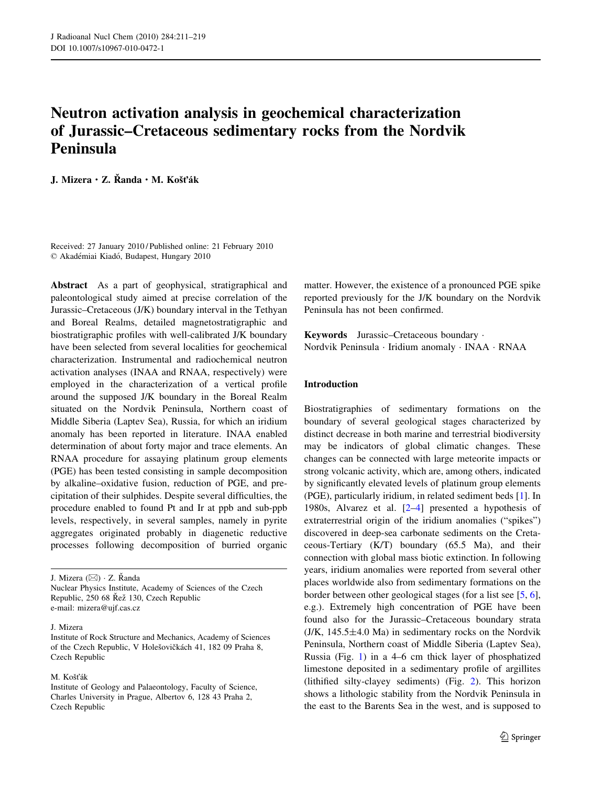# Neutron activation analysis in geochemical characterization of Jurassic–Cretaceous sedimentary rocks from the Nordvik Peninsula

J. Mizera · Z. Řanda · M. Košťák

Received: 27 January 2010 / Published online: 21 February 2010 © Akadémiai Kiadó, Budapest, Hungary 2010

Abstract As a part of geophysical, stratigraphical and paleontological study aimed at precise correlation of the Jurassic–Cretaceous (J/K) boundary interval in the Tethyan and Boreal Realms, detailed magnetostratigraphic and biostratigraphic profiles with well-calibrated J/K boundary have been selected from several localities for geochemical characterization. Instrumental and radiochemical neutron activation analyses (INAA and RNAA, respectively) were employed in the characterization of a vertical profile around the supposed J/K boundary in the Boreal Realm situated on the Nordvik Peninsula, Northern coast of Middle Siberia (Laptev Sea), Russia, for which an iridium anomaly has been reported in literature. INAA enabled determination of about forty major and trace elements. An RNAA procedure for assaying platinum group elements (PGE) has been tested consisting in sample decomposition by alkaline–oxidative fusion, reduction of PGE, and precipitation of their sulphides. Despite several difficulties, the procedure enabled to found Pt and Ir at ppb and sub-ppb levels, respectively, in several samples, namely in pyrite aggregates originated probably in diagenetic reductive processes following decomposition of burried organic

J. Mizera ( $\boxtimes$ ) · Z. Randa Nuclear Physics Institute, Academy of Sciences of the Czech Republic, 250 68 Řež 130, Czech Republic e-mail: mizera@ujf.cas.cz

#### J. Mizera

M. Košťák

matter. However, the existence of a pronounced PGE spike reported previously for the J/K boundary on the Nordvik Peninsula has not been confirmed.

Keywords Jurassic–Cretaceous boundary · Nordvik Peninsula · Iridium anomaly · INAA · RNAA

## Introduction

Biostratigraphies of sedimentary formations on the boundary of several geological stages characterized by distinct decrease in both marine and terrestrial biodiversity may be indicators of global climatic changes. These changes can be connected with large meteorite impacts or strong volcanic activity, which are, among others, indicated by significantly elevated levels of platinum group elements (PGE), particularly iridium, in related sediment beds [[1\]](#page-7-0). In 1980s, Alvarez et al. [\[2–4](#page-7-0)] presented a hypothesis of extraterrestrial origin of the iridium anomalies ("spikes") discovered in deep-sea carbonate sediments on the Cretaceous-Tertiary (K/T) boundary (65.5 Ma), and their connection with global mass biotic extinction. In following years, iridium anomalies were reported from several other places worldwide also from sedimentary formations on the border between other geological stages (for a list see [\[5](#page-7-0), [6](#page-7-0)], e.g.). Extremely high concentration of PGE have been found also for the Jurassic–Cretaceous boundary strata  $(J/K, 145.5 \pm 4.0 \text{ Ma})$  in sedimentary rocks on the Nordvik Peninsula, Northern coast of Middle Siberia (Laptev Sea), Russia (Fig. [1\)](#page-1-0) in a 4–6 cm thick layer of phosphatized limestone deposited in a sedimentary profile of argillites (lithified silty-clayey sediments) (Fig. [2](#page-1-0)). This horizon shows a lithologic stability from the Nordvik Peninsula in the east to the Barents Sea in the west, and is supposed to

Institute of Rock Structure and Mechanics, Academy of Sciences of the Czech Republic, V Holešovičkách 41, 182 09 Praha 8, Czech Republic

Institute of Geology and Palaeontology, Faculty of Science, Charles University in Prague, Albertov 6, 128 43 Praha 2, Czech Republic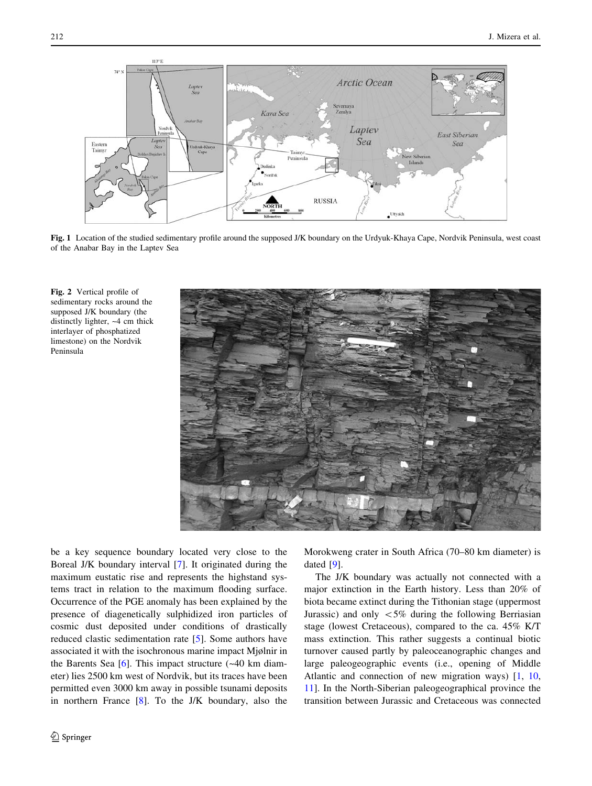<span id="page-1-0"></span>

Fig. 1 Location of the studied sedimentary profile around the supposed J/K boundary on the Urdyuk-Khaya Cape, Nordvik Peninsula, west coast of the Anabar Bay in the Laptev Sea

Fig. 2 Vertical profile of sedimentary rocks around the supposed J/K boundary (the distinctly lighter, ~4 cm thick interlayer of phosphatized limestone) on the Nordvik Peninsula



be a key sequence boundary located very close to the Boreal J/K boundary interval [\[7](#page-7-0)]. It originated during the maximum eustatic rise and represents the highstand systems tract in relation to the maximum flooding surface. Occurrence of the PGE anomaly has been explained by the presence of diagenetically sulphidized iron particles of cosmic dust deposited under conditions of drastically reduced clastic sedimentation rate [[5\]](#page-7-0). Some authors have associated it with the isochronous marine impact Mjølnir in the Barents Sea  $[6]$  $[6]$ . This impact structure  $(-40 \text{ km } \text{diam})$ eter) lies 2500 km west of Nordvik, but its traces have been permitted even 3000 km away in possible tsunami deposits in northern France [[8\]](#page-7-0). To the J/K boundary, also the Morokweng crater in South Africa (70–80 km diameter) is dated [[9\]](#page-7-0).

The J/K boundary was actually not connected with a major extinction in the Earth history. Less than 20% of biota became extinct during the Tithonian stage (uppermost Jurassic) and only  $\lt 5\%$  during the following Berriasian stage (lowest Cretaceous), compared to the ca. 45% K/T mass extinction. This rather suggests a continual biotic turnover caused partly by paleoceanographic changes and large paleogeographic events (i.e., opening of Middle Atlantic and connection of new migration ways) [[1,](#page-7-0) [10,](#page-7-0) [11](#page-7-0)]. In the North-Siberian paleogeographical province the transition between Jurassic and Cretaceous was connected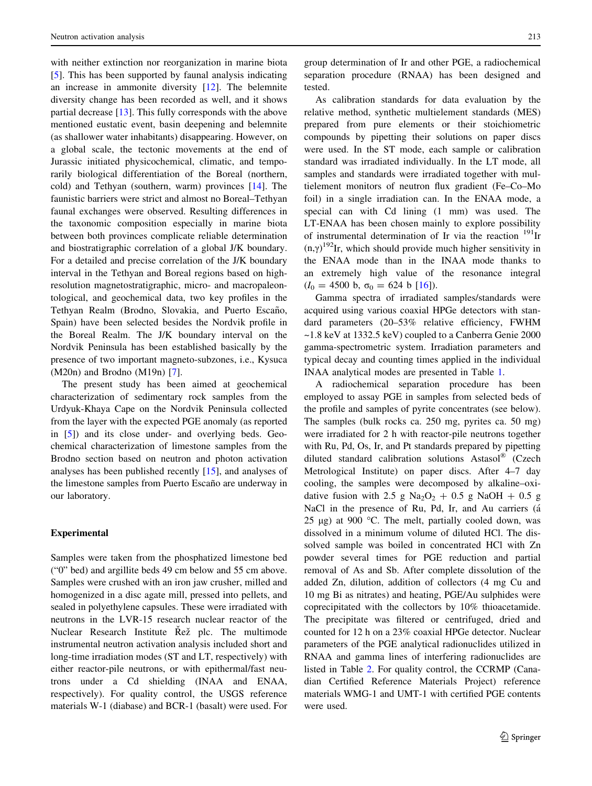with neither extinction nor reorganization in marine biota [\[5](#page-7-0)]. This has been supported by faunal analysis indicating an increase in ammonite diversity [\[12](#page-8-0)]. The belemnite diversity change has been recorded as well, and it shows partial decrease [[13](#page-8-0)]. This fully corresponds with the above mentioned eustatic event, basin deepening and belemnite (as shallower water inhabitants) disappearing. However, on a global scale, the tectonic movements at the end of Jurassic initiated physicochemical, climatic, and temporarily biological differentiation of the Boreal (northern, cold) and Tethyan (southern, warm) provinces [\[14](#page-8-0)]. The faunistic barriers were strict and almost no Boreal–Tethyan faunal exchanges were observed. Resulting differences in the taxonomic composition especially in marine biota between both provinces complicate reliable determination and biostratigraphic correlation of a global J/K boundary. For a detailed and precise correlation of the J/K boundary interval in the Tethyan and Boreal regions based on highresolution magnetostratigraphic, micro- and macropaleontological, and geochemical data, two key profiles in the Tethyan Realm (Brodno, Slovakia, and Puerto Escaño, Spain) have been selected besides the Nordvik profile in the Boreal Realm. The J/K boundary interval on the Nordvik Peninsula has been established basically by the presence of two important magneto-subzones, i.e., Kysuca (M20n) and Brodno (M19n) [[7\]](#page-7-0).

The present study has been aimed at geochemical characterization of sedimentary rock samples from the Urdyuk-Khaya Cape on the Nordvik Peninsula collected from the layer with the expected PGE anomaly (as reported in [[5\]](#page-7-0)) and its close under- and overlying beds. Geochemical characterization of limestone samples from the Brodno section based on neutron and photon activation analyses has been published recently [\[15](#page-8-0)], and analyses of the limestone samples from Puerto Escaño are underway in our laboratory.

## Experimental

Samples were taken from the phosphatized limestone bed ("0" bed) and argillite beds 49 cm below and 55 cm above. Samples were crushed with an iron jaw crusher, milled and homogenized in a disc agate mill, pressed into pellets, and sealed in polyethylene capsules. These were irradiated with neutrons in the LVR-15 research nuclear reactor of the Nuclear Research Institute Rež plc. The multimode instrumental neutron activation analysis included short and long-time irradiation modes (ST and LT, respectively) with either reactor-pile neutrons, or with epithermal/fast neutrons under a Cd shielding (INAA and ENAA, respectively). For quality control, the USGS reference materials W-1 (diabase) and BCR-1 (basalt) were used. For group determination of Ir and other PGE, a radiochemical separation procedure (RNAA) has been designed and tested.

As calibration standards for data evaluation by the relative method, synthetic multielement standards (MES) prepared from pure elements or their stoichiometric compounds by pipetting their solutions on paper discs were used. In the ST mode, each sample or calibration standard was irradiated individually. In the LT mode, all samples and standards were irradiated together with multielement monitors of neutron flux gradient (Fe–Co–Mo foil) in a single irradiation can. In the ENAA mode, a special can with Cd lining (1 mm) was used. The LT-ENAA has been chosen mainly to explore possibility of instrumental determination of Ir via the reaction  $^{191}$ Ir  $(n, \gamma)^{192}$ Ir, which should provide much higher sensitivity in the ENAA mode than in the INAA mode thanks to an extremely high value of the resonance integral  $(I_0 = 4500 \text{ b}, \sigma_0 = 624 \text{ b } [16]).$  $(I_0 = 4500 \text{ b}, \sigma_0 = 624 \text{ b } [16]).$  $(I_0 = 4500 \text{ b}, \sigma_0 = 624 \text{ b } [16]).$ 

Gamma spectra of irradiated samples/standards were acquired using various coaxial HPGe detectors with standard parameters (20–53% relative efficiency, FWHM ~1.8 keV at 1332.5 keV) coupled to a Canberra Genie 2000 gamma-spectrometric system. Irradiation parameters and typical decay and counting times applied in the individual INAA analytical modes are presented in Table 1.

A radiochemical separation procedure has been employed to assay PGE in samples from selected beds of the profile and samples of pyrite concentrates (see below). The samples (bulk rocks ca. 250 mg, pyrites ca. 50 mg) were irradiated for 2 h with reactor-pile neutrons together with Ru, Pd, Os, Ir, and Pt standards prepared by pipetting diluted standard calibration solutions Astasol® (Czech Metrological Institute) on paper discs. After 4–7 day cooling, the samples were decomposed by alkaline–oxidative fusion with 2.5 g Na<sub>2</sub>O<sub>2</sub> + 0.5 g NaOH + 0.5 g NaCl in the presence of Ru, Pd, Ir, and Au carriers (a 25 μg) at 900 °C. The melt, partially cooled down, was dissolved in a minimum volume of diluted HCl. The dissolved sample was boiled in concentrated HCl with Zn powder several times for PGE reduction and partial removal of As and Sb. After complete dissolution of the added Zn, dilution, addition of collectors (4 mg Cu and 10 mg Bi as nitrates) and heating, PGE/Au sulphides were coprecipitated with the collectors by 10% thioacetamide. The precipitate was filtered or centrifuged, dried and counted for 12 h on a 23% coaxial HPGe detector. Nuclear parameters of the PGE analytical radionuclides utilized in RNAA and gamma lines of interfering radionuclides are listed in Table 2. For quality control, the CCRMP (Canadian Certified Reference Materials Project) reference materials WMG-1 and UMT-1 with certified PGE contents were used.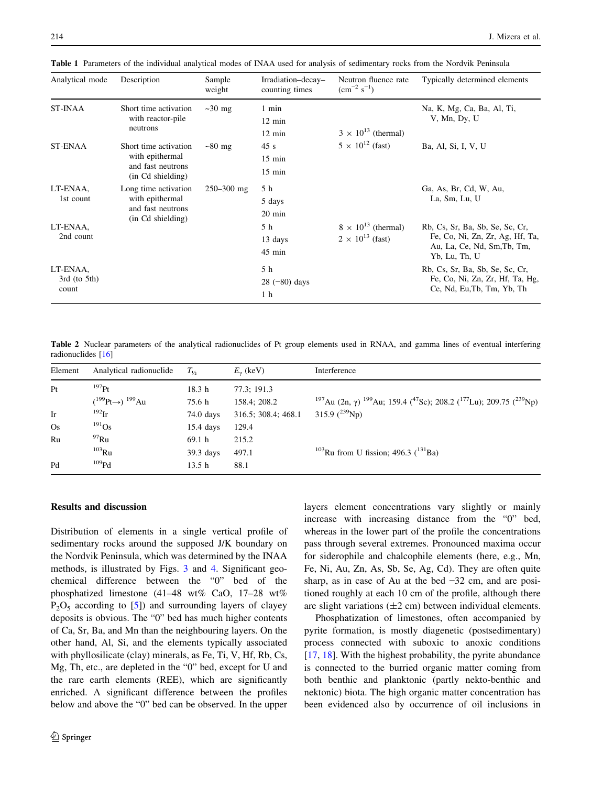| Analytical mode                        | Description                                                                        | Sample<br>weight | Irradiation-decay-<br>counting times          | Neutron fluence rate<br>$\rm \ (cm^{-2} \ s^{-1})$        | Typically determined elements                                                                                      |
|----------------------------------------|------------------------------------------------------------------------------------|------------------|-----------------------------------------------|-----------------------------------------------------------|--------------------------------------------------------------------------------------------------------------------|
| <b>ST-INAA</b>                         | Short time activation<br>with reactor-pile<br>neutrons                             | $\sim$ 30 mg     | 1 min<br>$12 \text{ min}$<br>$12 \text{ min}$ | $3 \times 10^{13}$ (thermal)                              | Na, K, Mg, Ca, Ba, Al, Ti,<br>V, Mn, Dy, U                                                                         |
| ST-ENAA                                | Short time activation<br>with epithermal<br>and fast neutrons<br>(in Cd shielding) | $\sim80$ mg      | 45s<br>$15$ min<br>$15 \text{ min}$           | $5 \times 10^{12}$ (fast)                                 | Ba, Al, Si, I, V, U                                                                                                |
| LT-ENAA,<br>1st count                  | Long time activation<br>with epithermal<br>and fast neutrons<br>(in Cd shielding)  | $250 - 300$ mg   | 5 h<br>5 days<br>20 min                       |                                                           | Ga, As, Br, Cd, W, Au,<br>La, Sm, Lu, U                                                                            |
| LT-ENAA,<br>2nd count                  |                                                                                    |                  | 5 h<br>13 days<br>$45 \text{ min}$            | $8 \times 10^{13}$ (thermal)<br>$2 \times 10^{13}$ (fast) | Rb, Cs, Sr, Ba, Sb, Se, Sc, Cr,<br>Fe, Co, Ni, Zn, Zr, Ag, Hf, Ta,<br>Au, La, Ce, Nd, Sm, Tb, Tm,<br>Yb, Lu, Th, U |
| LT-ENAA,<br>$3rd$ (to $5th$ )<br>count |                                                                                    |                  | 5 h<br>$28(-80)$ days<br>1 <sub>h</sub>       |                                                           | Rb, Cs, Sr, Ba, Sb, Se, Sc, Cr,<br>Fe, Co, Ni, Zn, Zr, Hf, Ta, Hg,<br>Ce, Nd, Eu, Tb, Tm, Yb, Th                   |

Table 1 Parameters of the individual analytical modes of INAA used for analysis of sedimentary rocks from the Nordvik Peninsula

Table 2 Nuclear parameters of the analytical radionuclides of Pt group elements used in RNAA, and gamma lines of eventual interfering radionuclides [\[16\]](#page-8-0)

| Element   | Analytical radionuclide         | $T_{1/2}$   | $E_{\nu}$ (keV)     | Interference                                                                                                                            |
|-----------|---------------------------------|-------------|---------------------|-----------------------------------------------------------------------------------------------------------------------------------------|
| Pt        | $^{197}$ Pt                     | 18.3 h      | 77.3: 191.3         |                                                                                                                                         |
|           | $(^{199}Pt\rightarrow)^{199}Au$ | 75.6 h      | 158.4; 208.2        | <sup>197</sup> Au (2n, $\gamma$ ) <sup>199</sup> Au; 159.4 ( <sup>47</sup> Sc); 208.2 ( <sup>177</sup> Lu); 209.75 ( <sup>239</sup> Np) |
| Ir        | $^{192}$ Ir                     | 74.0 days   | 316.5; 308.4; 468.1 | 315.9 $(^{239}Np)$                                                                                                                      |
| <b>Os</b> | $^{191}Os$                      | $15.4$ days | 129.4               |                                                                                                                                         |
| Ru        | $^{97}$ Ru                      | 69.1 h      | 215.2               |                                                                                                                                         |
|           | $103$ Ru                        | $39.3$ days | 497.1               | <sup>103</sup> Ru from U fission; 496.3 $(^{131}Ba)$                                                                                    |
| Pd        | 109Pd                           | 13.5 h      | 88.1                |                                                                                                                                         |

# Results and discussion

Distribution of elements in a single vertical profile of sedimentary rocks around the supposed J/K boundary on the Nordvik Peninsula, which was determined by the INAA methods, is illustrated by Figs. [3](#page-4-0) and [4](#page-5-0). Significant geochemical difference between the "0" bed of the phosphatized limestone (41–48 wt% CaO, 17–28 wt%  $P_2O_5$  according to [[5\]](#page-7-0)) and surrounding layers of clayey deposits is obvious. The "0" bed has much higher contents of Ca, Sr, Ba, and Mn than the neighbouring layers. On the other hand, Al, Si, and the elements typically associated with phyllosilicate (clay) minerals, as Fe, Ti, V, Hf, Rb, Cs, Mg, Th, etc., are depleted in the "0" bed, except for U and the rare earth elements (REE), which are significantly enriched. A significant difference between the profiles below and above the "0" bed can be observed. In the upper layers element concentrations vary slightly or mainly increase with increasing distance from the "0" bed, whereas in the lower part of the profile the concentrations pass through several extremes. Pronounced maxima occur for siderophile and chalcophile elements (here, e.g., Mn, Fe, Ni, Au, Zn, As, Sb, Se, Ag, Cd). They are often quite sharp, as in case of Au at the bed −32 cm, and are positioned roughly at each 10 cm of the profile, although there are slight variations  $(\pm 2 \text{ cm})$  between individual elements.

Phosphatization of limestones, often accompanied by pyrite formation, is mostly diagenetic (postsedimentary) process connected with suboxic to anoxic conditions [\[17](#page-8-0), [18](#page-8-0)]. With the highest probability, the pyrite abundance is connected to the burried organic matter coming from both benthic and planktonic (partly nekto-benthic and nektonic) biota. The high organic matter concentration has been evidenced also by occurrence of oil inclusions in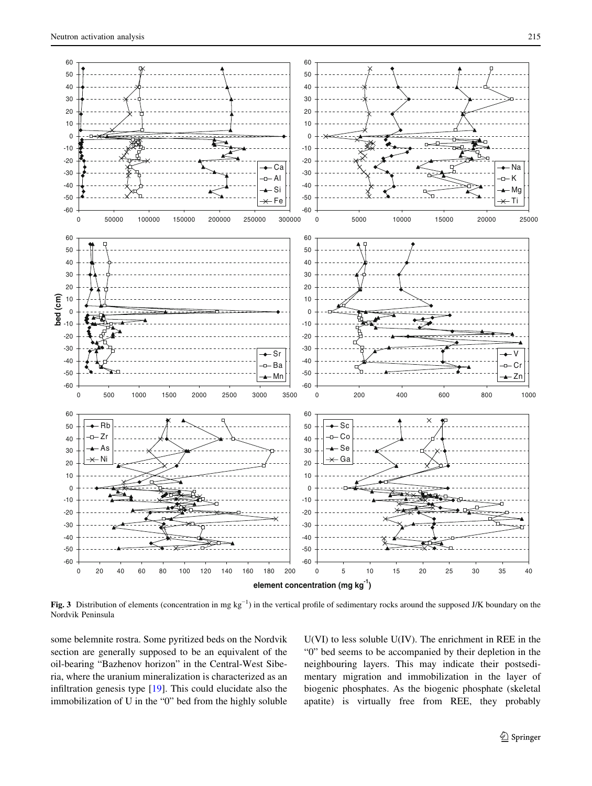-60 -50 -40 -30 -20 -10 0 10 20 30 40 50 60

-60 -50 -40 -30 -20 -10  $\mathfrak{c}$ 10 20 30 40 50 60

**bed (cm)**

<span id="page-4-0"></span>-60 -50 -40 -30  $-20$ -10 0 10 20 30 40 50 60



Fig. 3 Distribution of elements (concentration in mg kg<sup>-1</sup>) in the vertical profile of sedimentary rocks around the supposed J/K boundary on the Nordvik Peninsula

-60 -50 -40 -30

**element concentration (mg kg-1)**

some belemnite rostra. Some pyritized beds on the Nordvik section are generally supposed to be an equivalent of the oil-bearing "Bazhenov horizon" in the Central-West Siberia, where the uranium mineralization is characterized as an infiltration genesis type [[19\]](#page-8-0). This could elucidate also the immobilization of U in the "0" bed from the highly soluble

0 20 40 60 80 100 120 140 160 180 200

U(VI) to less soluble U(IV). The enrichment in REE in the "0" bed seems to be accompanied by their depletion in the neighbouring layers. This may indicate their postsedimentary migration and immobilization in the layer of biogenic phosphates. As the biogenic phosphate (skeletal apatite) is virtually free from REE, they probably

0 5 10 15 20 25 30 35 40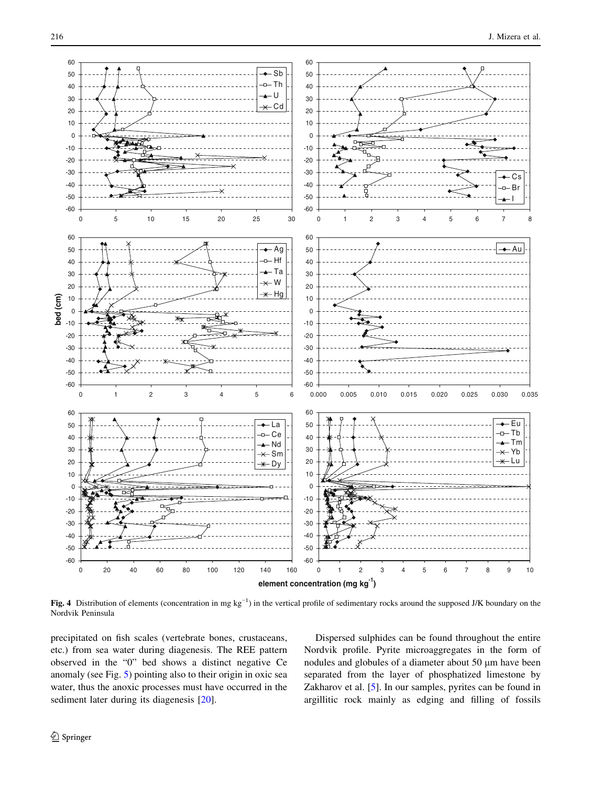<span id="page-5-0"></span>

Fig. 4 Distribution of elements (concentration in mg kg<sup>-1</sup>) in the vertical profile of sedimentary rocks around the supposed J/K boundary on the Nordvik Peninsula

precipitated on fish scales (vertebrate bones, crustaceans, etc.) from sea water during diagenesis. The REE pattern observed in the "0" bed shows a distinct negative Ce anomaly (see Fig. [5\)](#page-6-0) pointing also to their origin in oxic sea water, thus the anoxic processes must have occurred in the sediment later during its diagenesis [\[20](#page-8-0)].

Dispersed sulphides can be found throughout the entire Nordvik profile. Pyrite microaggregates in the form of nodules and globules of a diameter about 50 μm have been separated from the layer of phosphatized limestone by Zakharov et al. [\[5](#page-7-0)]. In our samples, pyrites can be found in argillitic rock mainly as edging and filling of fossils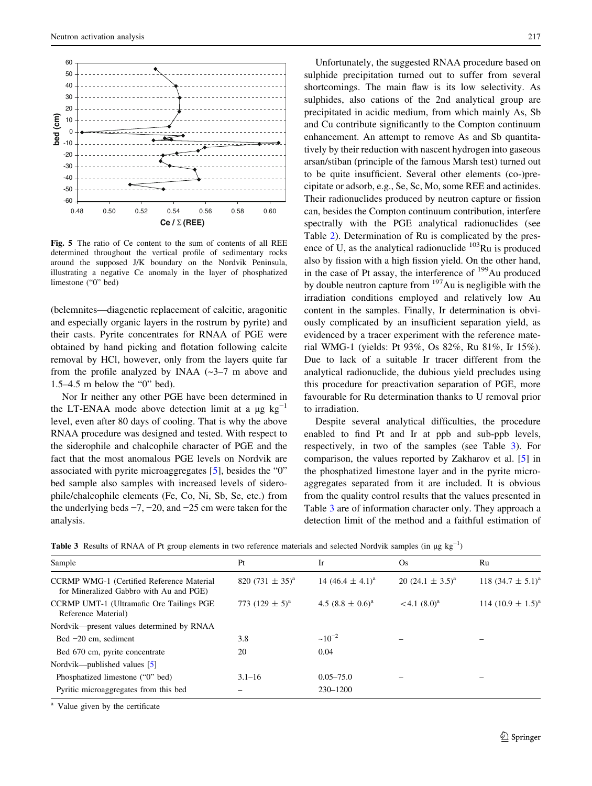<span id="page-6-0"></span>

Fig. 5 The ratio of Ce content to the sum of contents of all REE determined throughout the vertical profile of sedimentary rocks around the supposed J/K boundary on the Nordvik Peninsula, illustrating a negative Ce anomaly in the layer of phosphatized limestone ("0" bed)

(belemnites—diagenetic replacement of calcitic, aragonitic and especially organic layers in the rostrum by pyrite) and their casts. Pyrite concentrates for RNAA of PGE were obtained by hand picking and flotation following calcite removal by HCl, however, only from the layers quite far from the profile analyzed by INAA  $(-3-7)$  m above and 1.5–4.5 m below the "0" bed).

Nor Ir neither any other PGE have been determined in the LT-ENAA mode above detection limit at a  $\mu$ g kg<sup>-1</sup> level, even after 80 days of cooling. That is why the above RNAA procedure was designed and tested. With respect to the siderophile and chalcophile character of PGE and the fact that the most anomalous PGE levels on Nordvik are associated with pyrite microaggregates [\[5](#page-7-0)], besides the "0" bed sample also samples with increased levels of siderophile/chalcophile elements (Fe, Co, Ni, Sb, Se, etc.) from the underlying beds −7, −20, and −25 cm were taken for the analysis.

Unfortunately, the suggested RNAA procedure based on sulphide precipitation turned out to suffer from several shortcomings. The main flaw is its low selectivity. As sulphides, also cations of the 2nd analytical group are precipitated in acidic medium, from which mainly As, Sb and Cu contribute significantly to the Compton continuum enhancement. An attempt to remove As and Sb quantitatively by their reduction with nascent hydrogen into gaseous arsan/stiban (principle of the famous Marsh test) turned out to be quite insufficient. Several other elements (co-)precipitate or adsorb, e.g., Se, Sc, Mo, some REE and actinides. Their radionuclides produced by neutron capture or fission can, besides the Compton continuum contribution, interfere spectrally with the PGE analytical radionuclides (see Table 2). Determination of Ru is complicated by the presence of U, as the analytical radionuclide  $103$ Ru is produced also by fission with a high fission yield. On the other hand, in the case of Pt assay, the interference of  $199$ Au produced by double neutron capture from <sup>197</sup>Au is negligible with the irradiation conditions employed and relatively low Au content in the samples. Finally, Ir determination is obviously complicated by an insufficient separation yield, as evidenced by a tracer experiment with the reference material WMG-1 (yields: Pt 93%, Os 82%, Ru 81%, Ir 15%). Due to lack of a suitable Ir tracer different from the analytical radionuclide, the dubious yield precludes using this procedure for preactivation separation of PGE, more favourable for Ru determination thanks to U removal prior to irradiation.

Despite several analytical difficulties, the procedure enabled to find Pt and Ir at ppb and sub-ppb levels, respectively, in two of the samples (see Table 3). For comparison, the values reported by Zakharov et al. [\[5](#page-7-0)] in the phosphatized limestone layer and in the pyrite microaggregates separated from it are included. It is obvious from the quality control results that the values presented in Table 3 are of information character only. They approach a detection limit of the method and a faithful estimation of

Table 3 Results of RNAA of Pt group elements in two reference materials and selected Nordvik samples (in  $\mu$ g kg<sup>-1</sup>)

| Sample                                                                               | Pt                   | Ir                    | Os.                   | Ru                       |
|--------------------------------------------------------------------------------------|----------------------|-----------------------|-----------------------|--------------------------|
| CCRMP WMG-1 (Certified Reference Material<br>for Mineralized Gabbro with Au and PGE) | 820 $(731 \pm 35)^a$ | 14 $(46.4 \pm 4.1)^a$ | 20 $(24.1 \pm 3.5)^a$ | 118 $(34.7 \pm 5.1)^{6}$ |
| CCRMP UMT-1 (Ultramafic Ore Tailings PGE<br>Reference Material)                      | 773 $(129 \pm 5)^a$  | 4.5 $(8.8 \pm 0.6)^a$ | $< 4.1 (8.0)^a$       | 114 $(10.9 \pm 1.5)^{8}$ |
| Nordvik—present values determined by RNAA                                            |                      |                       |                       |                          |
| Bed $-20$ cm, sediment                                                               | 3.8                  | $~10^{-2}$            |                       |                          |
| Bed 670 cm, pyrite concentrate                                                       | 20                   | 0.04                  |                       |                          |
| Nordvik—published values [5]                                                         |                      |                       |                       |                          |
| Phosphatized limestone ("0" bed)                                                     | $3.1 - 16$           | $0.05 - 75.0$         |                       |                          |
| Pyritic microaggregates from this bed                                                |                      | 230-1200              |                       |                          |

<sup>a</sup> Value given by the certificate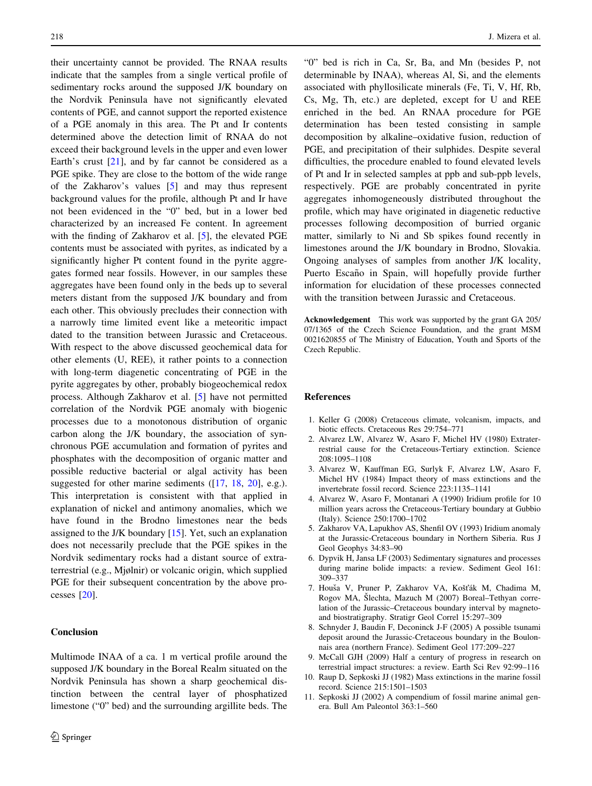<span id="page-7-0"></span>their uncertainty cannot be provided. The RNAA results indicate that the samples from a single vertical profile of sedimentary rocks around the supposed J/K boundary on the Nordvik Peninsula have not significantly elevated contents of PGE, and cannot support the reported existence of a PGE anomaly in this area. The Pt and Ir contents determined above the detection limit of RNAA do not exceed their background levels in the upper and even lower Earth's crust  $[21]$  $[21]$ , and by far cannot be considered as a PGE spike. They are close to the bottom of the wide range of the Zakharov's values [5] and may thus represent background values for the profile, although Pt and Ir have not been evidenced in the "0" bed, but in a lower bed characterized by an increased Fe content. In agreement with the finding of Zakharov et al. [5], the elevated PGE contents must be associated with pyrites, as indicated by a significantly higher Pt content found in the pyrite aggregates formed near fossils. However, in our samples these aggregates have been found only in the beds up to several meters distant from the supposed J/K boundary and from each other. This obviously precludes their connection with a narrowly time limited event like a meteoritic impact dated to the transition between Jurassic and Cretaceous. With respect to the above discussed geochemical data for other elements (U, REE), it rather points to a connection with long-term diagenetic concentrating of PGE in the pyrite aggregates by other, probably biogeochemical redox process. Although Zakharov et al. [5] have not permitted correlation of the Nordvik PGE anomaly with biogenic processes due to a monotonous distribution of organic carbon along the J/K boundary, the association of synchronous PGE accumulation and formation of pyrites and phosphates with the decomposition of organic matter and possible reductive bacterial or algal activity has been suggested for other marine sediments ([[17](#page-8-0), [18,](#page-8-0) [20](#page-8-0)], e.g.). This interpretation is consistent with that applied in explanation of nickel and antimony anomalies, which we have found in the Brodno limestones near the beds assigned to the J/K boundary [\[15](#page-8-0)]. Yet, such an explanation does not necessarily preclude that the PGE spikes in the Nordvik sedimentary rocks had a distant source of extraterrestrial (e.g., Mjølnir) or volcanic origin, which supplied PGE for their subsequent concentration by the above processes [[20\]](#page-8-0).

# Conclusion

Multimode INAA of a ca. 1 m vertical profile around the supposed J/K boundary in the Boreal Realm situated on the Nordvik Peninsula has shown a sharp geochemical distinction between the central layer of phosphatized limestone ("0" bed) and the surrounding argillite beds. The

"0" bed is rich in Ca, Sr, Ba, and Mn (besides P, not determinable by INAA), whereas Al, Si, and the elements associated with phyllosilicate minerals (Fe, Ti, V, Hf, Rb, Cs, Mg, Th, etc.) are depleted, except for U and REE enriched in the bed. An RNAA procedure for PGE determination has been tested consisting in sample decomposition by alkaline–oxidative fusion, reduction of PGE, and precipitation of their sulphides. Despite several difficulties, the procedure enabled to found elevated levels of Pt and Ir in selected samples at ppb and sub-ppb levels, respectively. PGE are probably concentrated in pyrite aggregates inhomogeneously distributed throughout the profile, which may have originated in diagenetic reductive processes following decomposition of burried organic matter, similarly to Ni and Sb spikes found recently in limestones around the J/K boundary in Brodno, Slovakia. Ongoing analyses of samples from another J/K locality, Puerto Escaño in Spain, will hopefully provide further information for elucidation of these processes connected with the transition between Jurassic and Cretaceous.

Acknowledgement This work was supported by the grant GA 205/ 07/1365 of the Czech Science Foundation, and the grant MSM 0021620855 of The Ministry of Education, Youth and Sports of the Czech Republic.

#### References

- 1. Keller G (2008) Cretaceous climate, volcanism, impacts, and biotic effects. Cretaceous Res 29:754–771
- 2. Alvarez LW, Alvarez W, Asaro F, Michel HV (1980) Extraterrestrial cause for the Cretaceous-Tertiary extinction. Science 208:1095–1108
- 3. Alvarez W, Kauffman EG, Surlyk F, Alvarez LW, Asaro F, Michel HV (1984) Impact theory of mass extinctions and the invertebrate fossil record. Science 223:1135–1141
- 4. Alvarez W, Asaro F, Montanari A (1990) Iridium profile for 10 million years across the Cretaceous-Tertiary boundary at Gubbio (Italy). Science 250:1700–1702
- 5. Zakharov VA, Lapukhov AS, Shenfil OV (1993) Iridium anomaly at the Jurassic-Cretaceous boundary in Northern Siberia. Rus J Geol Geophys 34:83–90
- 6. Dypvik H, Jansa LF (2003) Sedimentary signatures and processes during marine bolide impacts: a review. Sediment Geol 161: 309–337
- 7. Houša V, Pruner P, Zakharov VA, Košťák M, Chadima M, Rogov MA, Šlechta, Mazuch M (2007) Boreal–Tethyan correlation of the Jurassic–Cretaceous boundary interval by magnetoand biostratigraphy. Stratigr Geol Correl 15:297–309
- 8. Schnyder J, Baudin F, Deconinck J-F (2005) A possible tsunami deposit around the Jurassic-Cretaceous boundary in the Boulonnais area (northern France). Sediment Geol 177:209–227
- 9. McCall GJH (2009) Half a century of progress in research on terrestrial impact structures: a review. Earth Sci Rev 92:99–116
- 10. Raup D, Sepkoski JJ (1982) Mass extinctions in the marine fossil record. Science 215:1501–1503
- 11. Sepkoski JJ (2002) A compendium of fossil marine animal genera. Bull Am Paleontol 363:1–560